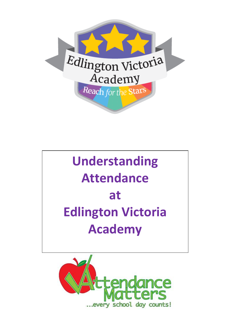

# **Understanding Attendance at Edlington Victoria Academy**

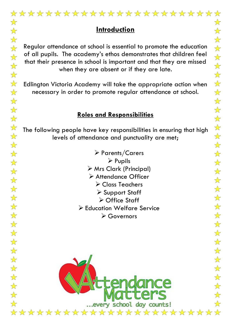### **Introduction**

Regular attendance at school is essential to promote the education of all pupils. The academy's ethos demonstrates that children feel that their presence in school is important and that they are missed when they are absent or if they are late.

Edlington Victoria Academy will take the appropriate action when necessary in order to promote regular attendance at school.

#### **Roles and Responsibilities**

The following people have key responsibilities in ensuring that high levels of attendance and punctuality are met;

> Parents/Carers  $\triangleright$  Pupils Mrs Clark (Principal) Attendance Officer Class Teachers Support Staff **≻ Office Staff**  Education Welfare Service Governors

... every school day counts!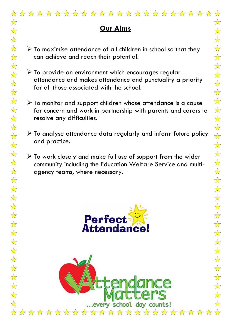# **Our Aims**

- $\triangleright$  To maximise attendance of all children in school so that they can achieve and reach their potential.
- $\triangleright$  To provide an environment which encourages regular attendance and makes attendance and punctuality a priority for all those associated with the school.
- $\triangleright$  To monitor and support children whose attendance is a cause for concern and work in partnership with parents and carers to resolve any difficulties.
- $\triangleright$  To analyse attendance data regularly and inform future policy and practice.
- $\triangleright$  To work closely and make full use of support from the wider community including the Education Welfare Service and multiagency teams, where necessary.



... every school day counts!

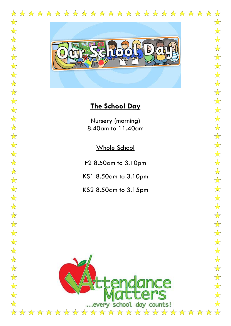#### \*\*\*\*\*\*\*\*\*\*\*\*\*\*\*\*\*\*\*\*\*\*\*\*  $\frac{1}{\sqrt{2}}$  $\frac{1}{2}$

 $\frac{1}{\sqrt{2}}$ 

 $\frac{1}{\sqrt{2}}$ 

 $\frac{1}{\sqrt{2}}$ 

 $\frac{1}{\sqrt{2}}$ 

 $\frac{1}{\sqrt{2}}$ 

 $\frac{1}{\sqrt{2}}$ 

 $\frac{1}{\sqrt{2}}$ 

 $\frac{1}{\sqrt{2}}$ 

 $\frac{\lambda}{\lambda}$ 

 $\frac{1}{\sqrt{2}}$ 

 $\frac{1}{\sqrt{2}}$ 

 $\frac{1}{\sqrt{2}}$ 

 $\frac{\lambda}{\lambda}$ 

 $\frac{\lambda}{\lambda}$ 

 $\frac{1}{\sqrt{2}}$ 

 $\frac{1}{\sqrt{2}}$ 

 $\frac{1}{\sqrt{2}}$ 

 $\overrightarrow{\mathbf{x}}$ 

 $\frac{1}{\sqrt{2}}$ 

 $\frac{1}{\sqrt{2}}$ 

 $\frac{1}{\sqrt{2}}$ 

 $\frac{\lambda}{\lambda}$ 

 $\frac{\lambda}{\lambda}$ 

 $\frac{1}{\sqrt{2}}$ 

 $\frac{1}{\sqrt{2}}$ 

 $\overrightarrow{\mathbf{x}}$ 

 $\frac{1}{\sqrt{2}}$ 

 $\overrightarrow{\mathbf{x}}$ 

 $\frac{1}{\sqrt{2}}$ 

 $\frac{1}{\sqrt{2}}$ 

 $\frac{1}{\sqrt{2}}$ 

 $\frac{1}{\sqrt{2}}$ 

 $\frac{1}{\sqrt{2}}$ 

 $\frac{1}{2}$ 

 $\frac{1}{\sqrt{2}}$ 

 $\frac{1}{\sqrt{2}}$ 

 $\frac{1}{\sqrt{2}}$ 

 $\frac{1}{\sqrt{2}}$ 

 $\overrightarrow{\mathbf{x}}$ 

 $\overrightarrow{\mathbf{x}}$ 

 $\overrightarrow{\mathbf{x}}$ 

 $\overrightarrow{\mathbf{x}}$ 

 $\frac{1}{\sqrt{2}}$ 

 $\overrightarrow{\mathbf{x}}$ 

 $\frac{1}{\sqrt{2}}$ 

 $\overrightarrow{\mathbf{x}}$ 

 $\frac{1}{\sqrt{2}}$ 

 $\frac{1}{\sqrt{2}}$ 



### **The School Day**

Nursery (morning) 8.40am to 11.40am

Whole School

F2 8.50am to 3.10pm

KS1 8.50am to 3.10pm

KS2 8.50am to 3.15pm

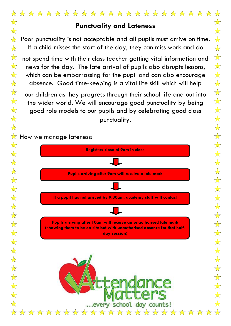Poor punctuality is not acceptable and all pupils must arrive on time. If a child misses the start of the day, they can miss work and do

not spend time with their class teacher getting vital information and news for the day. The late arrival of pupils also disrupts lessons, which can be embarrassing for the pupil and can also encourage absence. Good time-keeping is a vital life skill which will help

our children as they progress through their school life and out into the wider world. We will encourage good punctuality by being good role models to our pupils and by celebrating good class punctuality.

 $\sqrt{\mathbf{x}}$  How we manage lateness:

 $\frac{1}{2}$ 

 $\frac{1}{\sqrt{2}}$ 

 $\frac{1}{2}$ 

 $\frac{1}{\sqrt{2}}$ 

 $\frac{1}{\sqrt{2}}$ 

 $\frac{1}{\sqrt{2}}$ 

 $\frac{1}{\sqrt{2}}$ 

 $\frac{1}{\sqrt{2}}$ 

 $\frac{1}{\sqrt{2}}$ 

 $\overrightarrow{\mathbf{x}}$ 

 $\frac{1}{\sqrt{2}}$ 

 $\overrightarrow{\Sigma}$ 

 $\overrightarrow{\lambda}$ 

 $\frac{1}{\sqrt{2}}$ 

 $\frac{1}{\sqrt{2}}$ 

 $\frac{1}{\sqrt{2}}$ 

 $\frac{1}{2}$ 

 $\frac{1}{\sqrt{2}}$ 

 $\frac{1}{\sqrt{2}}$ 

 $\frac{1}{\sqrt{2}}$ 

 $\frac{1}{\sqrt{2}}$ 

 $\overrightarrow{\lambda}$ 

 $\frac{1}{\sqrt{2}}$ 

 $\frac{\lambda}{\lambda}$ 

 $\frac{\lambda}{\lambda}$ 

 $\frac{1}{\sqrt{2}}$ 

 $\frac{1}{\sqrt{2}}$ 

 $\frac{1}{\sqrt{2}}$ 

 $\frac{1}{2}$ 

 $\overrightarrow{\mathbf{x}}$ 

 $\frac{1}{\sqrt{2}}$ 

 $\frac{1}{2}$ 

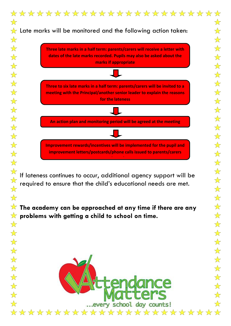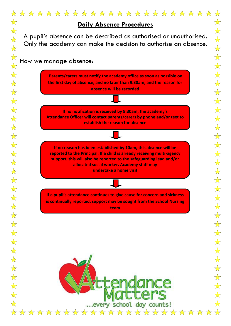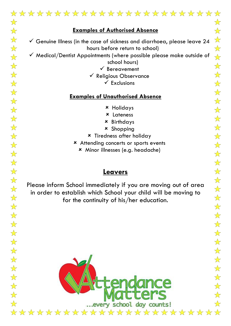# \*\*\*\*\*\*\*\*\*\*\*\*\*\*\*\*\*\*\*\*\*\*\*\*\*\*\*\* **Examples of Authorised Absence**  $\checkmark$  Genuine Illness (in the case of sickness and diarrhoea, please leave 24 hours before return to school)  $\checkmark$  Medical/Dentist Appointments (where possible please make outside of school hours)  $\checkmark$  Bereavement  $\checkmark$  Religious Observance  $\checkmark$  Exclusions **Examples of Unauthorised Absence**

- Holidays
- Lateness
- Birthdays
- Shopping
- Tiredness after holiday
- Attending concerts or sports events
	- Minor illnesses (e.g. headache)

#### **Leavers**

Please inform School immediately if you are moving out of area in order to establish which School your child will be moving to for the continuity of his/her education.

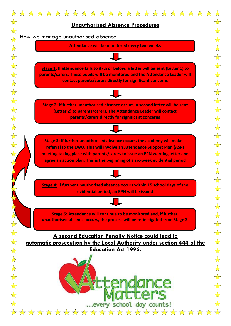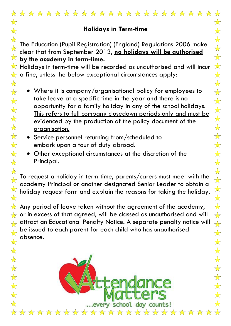| **********************                                                                                                                                                                                                                                                                                                                                     | $\frac{1}{\sqrt{2}}$                                                                                                                              |
|------------------------------------------------------------------------------------------------------------------------------------------------------------------------------------------------------------------------------------------------------------------------------------------------------------------------------------------------------------|---------------------------------------------------------------------------------------------------------------------------------------------------|
| <u>Holidays in Term-time</u>                                                                                                                                                                                                                                                                                                                               | $\frac{1}{\sqrt{2}}$<br>$\frac{1}{\sqrt{2}}$                                                                                                      |
| The Education (Pupil Registration) (England) Regulations 2006 make<br>clear that from September 2013, no holidays will be authorised<br>by the academy in term-time.<br>$\check{ }$ Holidays in term-time will be recorded as unauthorised and will incur                                                                                                  | $\frac{1}{\sqrt{2}}$<br>$\frac{1}{\sqrt{2}}$<br>$\frac{1}{\sqrt{2}}$<br>$\frac{1}{\sqrt{2}}$                                                      |
| $\alpha$ a fine, unless the below exceptional circumstances apply:                                                                                                                                                                                                                                                                                         | $\frac{1}{\sqrt{2}}$                                                                                                                              |
| • Where it is company/organisational policy for employees to<br>take leave at a specific time in the year and there is no<br>opportunity for a family holiday in any of the school holidays.<br><u>This refers to full company closedown periods only and must be</u><br>evidenced by the production of the policy document of the<br><u>organisation.</u> | $\frac{1}{\sqrt{2}}$<br>$\frac{1}{\sqrt{2}}$<br>$\frac{1}{\sqrt{2}}$<br>$\frac{1}{\sqrt{2}}$<br>$\frac{1}{\sqrt{2}}$<br>$\frac{1}{\sqrt{2}}$      |
| • Service personnel returning from/scheduled to<br>embark upon a tour of duty abroad.<br>Other exceptional circumstances at the discretion of the<br>Principal.                                                                                                                                                                                            | $\sqrt{\phantom{.}}$<br>$\frac{1}{\sqrt{2}}$<br>$\frac{1}{\sqrt{2}}$<br>$\frac{1}{\sqrt{2}}$                                                      |
| To request a holiday in term-time, parents/carers must meet with the<br>academy Principal or another designated Senior Leader to obtain a<br>holiday request form and explain the reasons for taking the holiday.                                                                                                                                          | $\frac{1}{\sqrt{2}}$<br>$\frac{1}{\sqrt{2}}$<br>$\frac{1}{\sqrt{2}}$<br>$\frac{1}{\sqrt{2}}$                                                      |
| $\gamma$ Any period of leave taken without the agreement of the academy,<br>$\sim$ or in excess of that agreed, will be classed as unauthorised and will<br>, attract an Educational Penalty Notice. A separate penalty notice will<br>$\,$ be issued to each parent for each child who has unauthorised<br>absence.                                       | $\frac{1}{\sqrt{2}}$<br>$\frac{1}{\sqrt{2}}$<br>$\frac{1}{\sqrt{2}}$<br>$\frac{\sqrt{2}}{2}$                                                      |
| every school day counts!                                                                                                                                                                                                                                                                                                                                   | $\frac{1}{\sqrt{2}}$<br>$\frac{1}{\sqrt{2}}$<br>$\frac{\lambda}{\lambda}$<br>$\frac{\sqrt{2}}{2}$<br>$\frac{1}{\sqrt{2}}$<br>$\sqrt{\phantom{a}}$ |
| ***********************                                                                                                                                                                                                                                                                                                                                    |                                                                                                                                                   |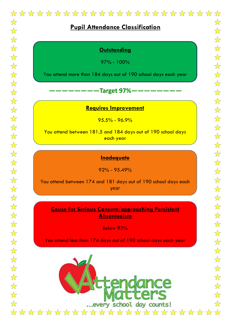# **Pupil Attendance Classification**

#### **Outstanding**

97% - 100%

You attend more than 184 days out of 190 school days each year

#### **————————Target 97%————————**

#### **Requires Improvement**

 $95.5\% - 96.9\%$ 

You attend between 181.5 and 184 days out of 190 school days each year

#### **Inadequate**

92% - 95.49%

You attend between 174 and 181 days out of 190 school days each year

**Cause for Serious Concern/approaching Persistent Absenteeism**

Below 92%

You attend less than 174 days out of 190 school days each year